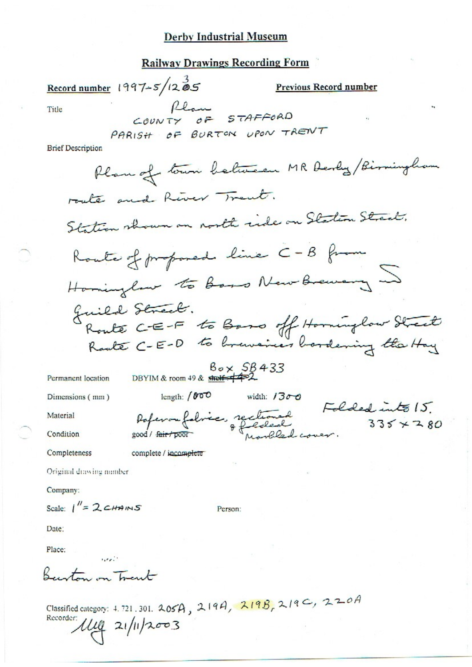### **Derby Industrial Museum**

# **Railway Drawings Recording Form**

| Record number $1997 - 5/12$ 05                              | <b>Previous Record number</b>              |
|-------------------------------------------------------------|--------------------------------------------|
| flam<br>Title<br>COUNTY OF STAFFORD                         | $\mathbf{r}_1$                             |
| PARISH OF BURTON UPON TRENT<br><b>Brief Description</b>     |                                            |
|                                                             | Plan of town between MR Derly / Birmingham |
| route and River Trent.                                      |                                            |
| Station shown on north ride on Station Street.              |                                            |
| Route of proposed line C-B from                             |                                            |
| Hominglow to base New Brewary                               |                                            |
| Juild Street.<br>Route C-E-F to Base off Horninglow Street  |                                            |
| $B_{o} \times SB$ 433                                       |                                            |
| DBYIM & room 49 & shelf $\leftarrow$<br>Permanent location  |                                            |
| length: $1000$<br>Dimensions (mm)                           | width: $1300$                              |
| Material                                                    | Folded into 15.                            |
| Raferon fabrico, rectional<br>Condition<br>good / fair poor | $335 \times 280$                           |
| Completeness<br>complete / incomplete                       |                                            |
| Original drawing number                                     |                                            |
| Company:                                                    |                                            |
| Scale: $1'' = 2c$ HAINS<br>Person:                          |                                            |
| Date:                                                       |                                            |
| Place:                                                      |                                            |

Barton on Trant

Classified category: 4.721.301. 205A, 219A, 219B, 219C, 220A<br>Recorder:  $\mu$  21/11/2003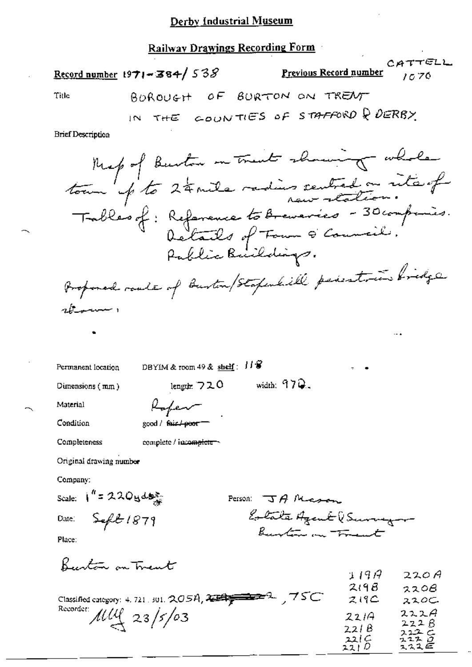#### Railway Drawings Recording Form

|                                   | Natiway Dramings Recording 1 orm                                                                                                                                                                                                              |                              |              |                |
|-----------------------------------|-----------------------------------------------------------------------------------------------------------------------------------------------------------------------------------------------------------------------------------------------|------------------------------|--------------|----------------|
|                                   | Record number 1971 - 384/538 Previous Record number 1070                                                                                                                                                                                      |                              |              | CATTELL        |
| Title                             | BOROUGH OF BURTON ON TRENT                                                                                                                                                                                                                    |                              |              |                |
|                                   | IN THE GOUNTIES OF STAFFORD Q DERBY                                                                                                                                                                                                           |                              |              |                |
| <b>Brief Description</b>          |                                                                                                                                                                                                                                               |                              |              |                |
| rborner 1                         | Meg of Burton in Trent showing whole<br>tour p' to 24 mile redies centred on rite of<br>Trables of : Reference to <del>Br</del> evenics - 30 comparis.<br>Details of Form & Council.<br>Proponed roads of Bustin/Stapshill periodicine bridge |                              |              |                |
|                                   |                                                                                                                                                                                                                                               |                              |              |                |
| Permanent location                | DBYIM & room 49 & $\frac{\text{sheif}}{\text{sheif}}$ : $H \mathcal{G}$                                                                                                                                                                       |                              |              |                |
| Dimensions $(mm)$                 | length: $720$                                                                                                                                                                                                                                 | width: $97Q$ .               |              |                |
| Material Roper                    |                                                                                                                                                                                                                                               |                              |              |                |
| Condition                         | good / fair / poor                                                                                                                                                                                                                            |                              |              |                |
| Completeness                      | complete / important -                                                                                                                                                                                                                        |                              |              |                |
| Original drawing number           |                                                                                                                                                                                                                                               |                              |              |                |
| Company:                          |                                                                                                                                                                                                                                               |                              |              |                |
| Scale: $1'' = 220y \frac{dy}{dx}$ |                                                                                                                                                                                                                                               | Person: $\mathcal{A}$ Massey |              |                |
| Date: Seft 1879                   |                                                                                                                                                                                                                                               | Eolate Agent (Surveyor       |              |                |
| Place:                            |                                                                                                                                                                                                                                               | Burton on Trant              |              |                |
| <u>hantoù an Treut</u>            |                                                                                                                                                                                                                                               |                              | 119A<br>219B | 220A<br>o o AR |

|                                                     | .      | ----         |
|-----------------------------------------------------|--------|--------------|
|                                                     | 219B   | 2208         |
| Classified category: 4, 721, 301, 205A, $234$ $750$ | 219C   | 220C         |
| Recorder $\mu\mu$ 23/5/03                           | 2214   | 222A         |
|                                                     | 221B   | 222B<br>222C |
|                                                     | 221 C  | ユユス ロ        |
|                                                     | 22   D | スススモ         |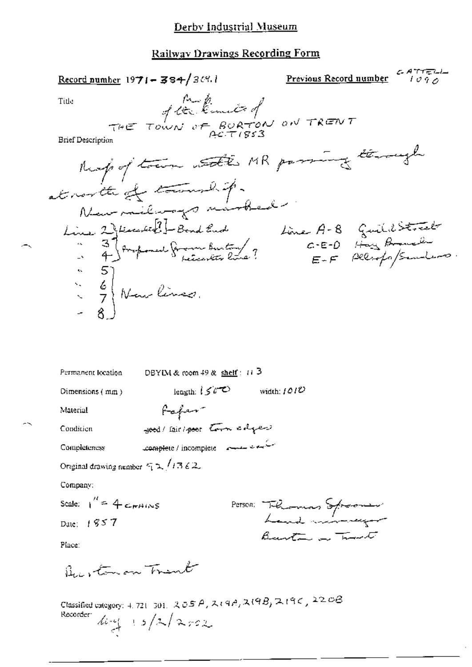### Railway Drawings Recording Form

|                                                            | Record number 1971 - 384/369.1                                                                                   |                                  |  |
|------------------------------------------------------------|------------------------------------------------------------------------------------------------------------------|----------------------------------|--|
| Title                                                      | A technical on TRENT                                                                                             |                                  |  |
|                                                            |                                                                                                                  |                                  |  |
| <b>Brief Description</b>                                   |                                                                                                                  |                                  |  |
|                                                            |                                                                                                                  | Ruspoftam att MR passing through |  |
|                                                            | at north of themself.                                                                                            |                                  |  |
|                                                            |                                                                                                                  |                                  |  |
|                                                            | Line 2) févrientes ? - Bond Euch<br>- 3) forogrammer française bien tour ?<br>- 4) forogrammer françaiser line ? | Line A-8 Guillistrate            |  |
|                                                            |                                                                                                                  |                                  |  |
|                                                            |                                                                                                                  |                                  |  |
|                                                            | $\begin{pmatrix} 5 \\ 6 \\ 7 \end{pmatrix}$ Nous lines.                                                          |                                  |  |
|                                                            |                                                                                                                  |                                  |  |
|                                                            |                                                                                                                  |                                  |  |
|                                                            |                                                                                                                  |                                  |  |
|                                                            |                                                                                                                  |                                  |  |
| Permanent location                                         | DBYIM & room $49$ & shelf: $11\overline{3}$                                                                      |                                  |  |
| Dimensions $(mm)$                                          | length: $150^\circ$                                                                                              | width: $1010$                    |  |
| Material                                                   | fafer-                                                                                                           |                                  |  |
| Condition                                                  | seed/fair/poor town edges                                                                                        |                                  |  |
| Completeness                                               | Complete / incomplete - 2000                                                                                     |                                  |  |
| Original drawing number $\in \mathbb{R}$ /13 62.           |                                                                                                                  |                                  |  |
| Company:                                                   |                                                                                                                  |                                  |  |
| Scale: $1'' = 4$ c <sub>m</sub> $\mu$ <sub>i</sub> $\mu$ s |                                                                                                                  |                                  |  |
| Date: 1857                                                 |                                                                                                                  | Person: Thelamas Spromer         |  |
| Place:                                                     |                                                                                                                  | Barta a Travet                   |  |
| Burtonon Trent                                             |                                                                                                                  |                                  |  |
|                                                            | Classified category: 4, 721-301, 205 A, 2(9B, 2(9B, 2(9C, 220B)                                                  |                                  |  |
| Recorder:                                                  | $log(15/2)$ 2002                                                                                                 |                                  |  |

 $\sim$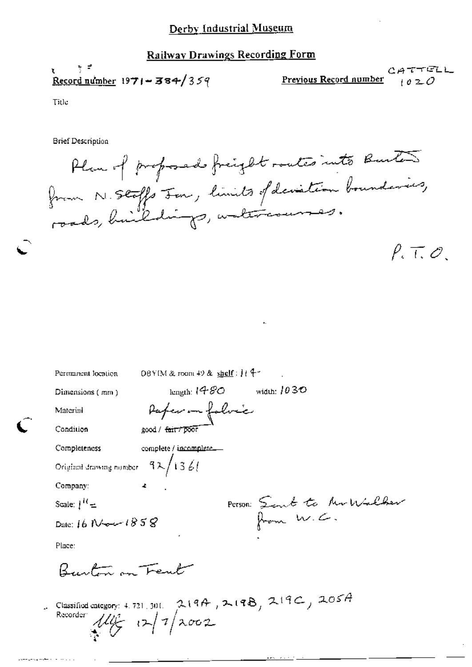#### Derby Industrial Museum

## **Railway Drawings Recording Form**

Record number  $1971 - 384/359$ 

CATTELL Previous Record number  $1020$ 

Title

**Brief Description** 

Plus of proposade freight routes into Buito from N. Stoffs Jon, limits of deviation boundaries,  $P. T. O.$ 

| Permanent location                           | DBYIM & room 49 & $\frac{\text{shell}}{2}$ : 114-                  |
|----------------------------------------------|--------------------------------------------------------------------|
| Dimensions (mm)                              | width: $1030$<br>kngth: 1 $\mathcal{A}\mathcal{B}\mathcal{O}$      |
| Material                                     | Paper in folvic                                                    |
| Condition                                    | good / fair / poor                                                 |
| Completeness                                 | complete / incomplete                                              |
| Original drawing number $-9\lambda/13\,$ 6 ( |                                                                    |
| Company:                                     |                                                                    |
| Scale: $j^{10} =$                            | Person: Sent to Mullber                                            |
| Date: 16 New 1858                            |                                                                    |
| Place:                                       |                                                                    |
| Rustin on Trent                              |                                                                    |
| Recorder $11/2$ $12/2002$                    | Classified category: 4.721, 301. $219A$ , $219B$ , $219C$ , $205A$ |